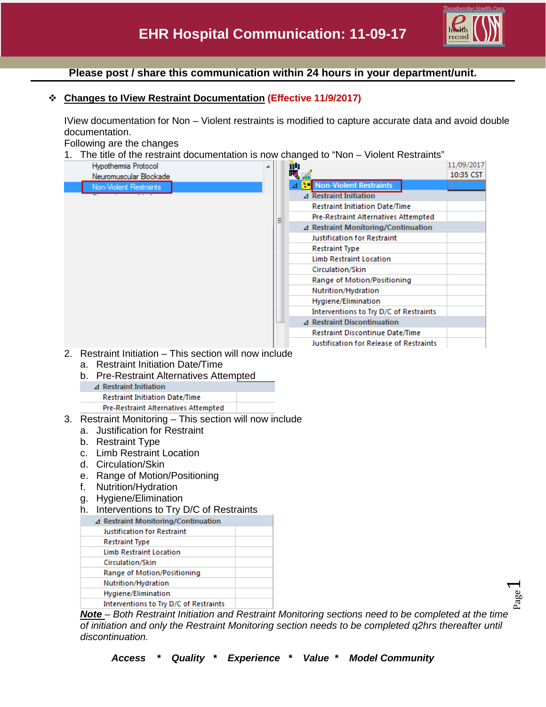

Page  $\overline{\phantom{0}}$ 

# **Please post / share this communication within 24 hours in your department/unit.**

## **Changes to IView Restraint Documentation (Effective 11/9/2017)**

IView documentation for Non – Violent restraints is modified to capture accurate data and avoid double documentation.

Following are the changes

1. The title of the restraint documentation is now changed to "Non – Violent Restraints"

|          | Hypothermia Protocol                                                                                                                                                                                                                                                                  |  |   | ü٩ |                                        | 11/09/2017 |  |  |  |  |
|----------|---------------------------------------------------------------------------------------------------------------------------------------------------------------------------------------------------------------------------------------------------------------------------------------|--|---|----|----------------------------------------|------------|--|--|--|--|
|          | Neuromuscular Blockade                                                                                                                                                                                                                                                                |  |   |    |                                        | 10:35 CST  |  |  |  |  |
|          | Non-Violent Restraints                                                                                                                                                                                                                                                                |  |   |    | <b>Non-Violent Restraints</b>          |            |  |  |  |  |
|          |                                                                                                                                                                                                                                                                                       |  |   |    | ⊿ Restraint Initiation                 |            |  |  |  |  |
|          |                                                                                                                                                                                                                                                                                       |  |   |    | <b>Restraint Initiation Date/Time</b>  |            |  |  |  |  |
|          |                                                                                                                                                                                                                                                                                       |  | Ξ |    | Pre-Restraint Alternatives Attempted   |            |  |  |  |  |
|          |                                                                                                                                                                                                                                                                                       |  |   |    | ⊿ Restraint Monitoring/Continuation    |            |  |  |  |  |
|          |                                                                                                                                                                                                                                                                                       |  |   |    | <b>Justification for Restraint</b>     |            |  |  |  |  |
|          |                                                                                                                                                                                                                                                                                       |  |   |    | <b>Restraint Type</b>                  |            |  |  |  |  |
|          |                                                                                                                                                                                                                                                                                       |  |   |    | <b>Limb Restraint Location</b>         |            |  |  |  |  |
|          |                                                                                                                                                                                                                                                                                       |  |   |    | Circulation/Skin                       |            |  |  |  |  |
|          |                                                                                                                                                                                                                                                                                       |  |   |    | Range of Motion/Positioning            |            |  |  |  |  |
|          |                                                                                                                                                                                                                                                                                       |  |   |    | Nutrition/Hydration                    |            |  |  |  |  |
|          |                                                                                                                                                                                                                                                                                       |  |   |    | Hygiene/Elimination                    |            |  |  |  |  |
|          |                                                                                                                                                                                                                                                                                       |  |   |    | Interventions to Try D/C of Restraints |            |  |  |  |  |
|          |                                                                                                                                                                                                                                                                                       |  |   |    | $\Delta$ Restraint Discontinuation     |            |  |  |  |  |
|          |                                                                                                                                                                                                                                                                                       |  |   |    | Restraint Discontinue Date/Time        |            |  |  |  |  |
|          | b. Pre-Restraint Alternatives Attempted<br>$\triangle$ Restraint Initiation<br><b>Restraint Initiation Date/Time</b><br><b>Pre-Restraint Alternatives Attempted</b><br>3. Restraint Monitoring - This section will now include<br>a. Justification for Restraint<br>b. Restraint Type |  |   |    |                                        |            |  |  |  |  |
|          | c. Limb Restraint Location                                                                                                                                                                                                                                                            |  |   |    |                                        |            |  |  |  |  |
|          | d. Circulation/Skin                                                                                                                                                                                                                                                                   |  |   |    |                                        |            |  |  |  |  |
|          | e. Range of Motion/Positioning                                                                                                                                                                                                                                                        |  |   |    |                                        |            |  |  |  |  |
|          |                                                                                                                                                                                                                                                                                       |  |   |    |                                        |            |  |  |  |  |
| f.<br>g. | Nutrition/Hydration                                                                                                                                                                                                                                                                   |  |   |    |                                        |            |  |  |  |  |
|          | Hygiene/Elimination                                                                                                                                                                                                                                                                   |  |   |    |                                        |            |  |  |  |  |
|          | h. Interventions to Try D/C of Restraints                                                                                                                                                                                                                                             |  |   |    |                                        |            |  |  |  |  |
|          | ⊿ Restraint Monitoring/Continuation                                                                                                                                                                                                                                                   |  |   |    |                                        |            |  |  |  |  |
|          | <b>Justification for Restraint</b>                                                                                                                                                                                                                                                    |  |   |    |                                        |            |  |  |  |  |
|          | <b>Restraint Type</b>                                                                                                                                                                                                                                                                 |  |   |    |                                        |            |  |  |  |  |
|          | <b>Limb Restraint Location</b>                                                                                                                                                                                                                                                        |  |   |    |                                        |            |  |  |  |  |
|          | Circulation/Skin                                                                                                                                                                                                                                                                      |  |   |    |                                        |            |  |  |  |  |
|          | Range of Motion/Positioning                                                                                                                                                                                                                                                           |  |   |    |                                        |            |  |  |  |  |
|          | Nutrition/Hydration                                                                                                                                                                                                                                                                   |  |   |    |                                        |            |  |  |  |  |
|          | Hygiene/Elimination                                                                                                                                                                                                                                                                   |  |   |    |                                        |            |  |  |  |  |
|          | Interventions to Try D/C of Restraints                                                                                                                                                                                                                                                |  |   |    |                                        |            |  |  |  |  |

*Note – Both Restraint Initiation and Restraint Monitoring sections need to be completed at the time of initiation and only the Restraint Monitoring section needs to be completed q2hrs thereafter until discontinuation.*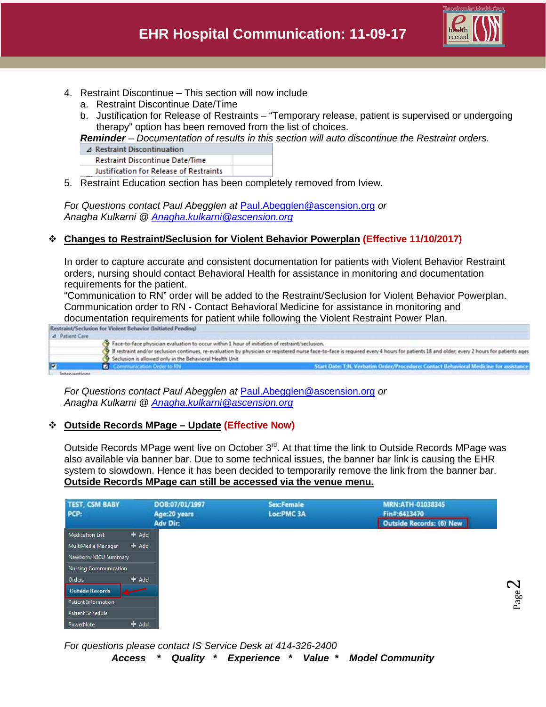

- 4. Restraint Discontinue This section will now include
	- a. Restraint Discontinue Date/Time
	- b. Justification for Release of Restraints "Temporary release, patient is supervised or undergoing therapy" option has been removed from the list of choices.

*Reminder – Documentation of results in this section will auto discontinue the Restraint orders.*

- ⊿ Restraint Discontinuation
- Restraint Discontinue Date/Time

Justification for Release of Restraints

5. Restraint Education section has been completely removed from Iview.

*For Questions contact Paul Abegglen at* [Paul.Abegglen@ascension.org](mailto:Paul.Abegglen@ascension.org) *or Anagha Kulkarni @ [Anagha.kulkarni@ascension.org](mailto:Anagha.kulkarni@ascension.org)*

## **Changes to Restraint/Seclusion for Violent Behavior Powerplan (Effective 11/10/2017)**

In order to capture accurate and consistent documentation for patients with Violent Behavior Restraint orders, nursing should contact Behavioral Health for assistance in monitoring and documentation requirements for the patient.

"Communication to RN" order will be added to the Restraint/Seclusion for Violent Behavior Powerplan. Communication order to RN - Contact Behavioral Medicine for assistance in monitoring and



*For Questions contact Paul Abegglen at* [Paul.Abegglen@ascension.org](mailto:Paul.Abegglen@ascension.org) *or Anagha Kulkarni @ [Anagha.kulkarni@ascension.org](mailto:Anagha.kulkarni@ascension.org)*

### **Outside Records MPage – Update (Effective Now)**

Outside Records MPage went live on October  $3<sup>rd</sup>$ . At that time the link to Outside Records MPage was also available via banner bar. Due to some technical issues, the banner bar link is causing the EHR system to slowdown. Hence it has been decided to temporarily remove the link from the banner bar. **Outside Records MPage can still be accessed via the venue menu.**

| <b>TEST, CSM BABY</b>        |         | DOB:07/01/1997                  | <b>Sex:Female</b> | MRN:ATH-01038345                         |
|------------------------------|---------|---------------------------------|-------------------|------------------------------------------|
| PCP:                         |         | Age:20 years<br><b>Adv Dir:</b> | Loc:PMC 3A        | Fin#:6413470<br>Outside Records: (6) New |
| <b>Medication List</b>       | $#$ Add |                                 |                   |                                          |
| MultiMedia Manager           | $#$ Add |                                 |                   |                                          |
| Newborn/NICU Summary         |         |                                 |                   |                                          |
| <b>Nursing Communication</b> |         |                                 |                   |                                          |
| Orders                       | $#$ Add |                                 |                   |                                          |
| <b>Outside Records</b>       |         |                                 |                   |                                          |
| Patient Information          |         |                                 |                   |                                          |
| Patient Schedule             |         |                                 |                   |                                          |
| PowerNote                    | $+$ Add |                                 |                   |                                          |

*For questions please contact IS Service Desk at 414-326-2400*